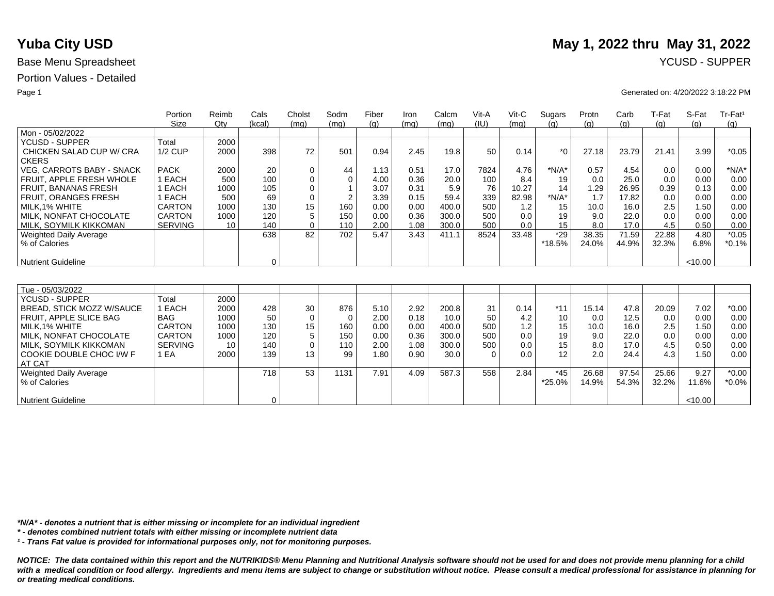## Portion Values - Detailed

|                               | Portion        | Reimb           | Cals        | Cholst      | Sodm           | Fiber | Iron | Calcm | Vit-A    | $V$ it-C | Sugars  | Protn | Carb  | T-Fat | S-Fat   | Tr-Fat <sup>1</sup> |
|-------------------------------|----------------|-----------------|-------------|-------------|----------------|-------|------|-------|----------|----------|---------|-------|-------|-------|---------|---------------------|
|                               | Size           | $Q$ ty          | (kcal)      | (mq)        | (mq)           | (q)   | (mq) | (mq)  | (IU)     | (mq)     | (q)     | (q)   | (g)   | (q)   | (q)     | (q)                 |
| Mon - 05/02/2022              |                |                 |             |             |                |       |      |       |          |          |         |       |       |       |         |                     |
| <b>YCUSD - SUPPER</b>         | Total          | 2000            |             |             |                |       |      |       |          |          |         |       |       |       |         |                     |
| CHICKEN SALAD CUP W/ CRA      | <b>1/2 CUP</b> | 2000            | 398         | 72          | 501            | 0.94  | 2.45 | 19.8  | 50       | 0.14     | $*_{0}$ | 27.18 | 23.79 | 21.41 | 3.99    | $*0.05$             |
| <b>CKERS</b>                  |                |                 |             |             |                |       |      |       |          |          |         |       |       |       |         |                     |
| VEG, CARROTS BABY - SNACK     | <b>PACK</b>    | 2000            | 20          | $\mathbf 0$ | 44             | 1.13  | 0.51 | 17.0  | 7824     | 4.76     | $*N/A*$ | 0.57  | 4.54  | 0.0   | 0.00    | $*N/A*$             |
| FRUIT. APPLE FRESH WHOLE      | 1 EACH         | 500             | 100         | 0           | $\Omega$       | 4.00  | 0.36 | 20.0  | 100      | 8.4      | 19      | 0.0   | 25.0  | 0.0   | 0.00    | 0.00                |
| <b>FRUIT, BANANAS FRESH</b>   | 1 EACH         | 1000            | 105         | 0           |                | 3.07  | 0.31 | 5.9   | 76       | 10.27    | 14      | 1.29  | 26.95 | 0.39  | 0.13    | 0.00                |
| <b>FRUIT, ORANGES FRESH</b>   | 1 EACH         | 500             | 69          | $\mathbf 0$ | $\overline{2}$ | 3.39  | 0.15 | 59.4  | 339      | 82.98    | $*N/A*$ | 1.7   | 17.82 | 0.0   | 0.00    | 0.00                |
| MILK, 1% WHITE                | <b>CARTON</b>  | 1000            | 130         | 15          | 160            | 0.00  | 0.00 | 400.0 | 500      | 1.2      | 15      | 10.0  | 16.0  | 2.5   | 1.50    | 0.00                |
| MILK. NONFAT CHOCOLATE        | <b>CARTON</b>  | 1000            | 120         | 5           | 150            | 0.00  | 0.36 | 300.0 | 500      | 0.0      | 19      | 9.0   | 22.0  | 0.0   | 0.00    | 0.00                |
| MILK. SOYMILK KIKKOMAN        | <b>SERVING</b> | 10 <sup>1</sup> | 140         | $\Omega$    | 110            | 2.00  | 1.08 | 300.0 | 500      | 0.0      | 15      | 8.0   | 17.0  | 4.5   | 0.50    | 0.00                |
| Weighted Daily Average        |                |                 | 638         | 82          | 702            | 5.47  | 3.43 | 411.1 | 8524     | 33.48    | $*29$   | 38.35 | 71.59 | 22.88 | 4.80    | $*0.05$             |
| % of Calories                 |                |                 |             |             |                |       |      |       |          |          | *18.5%  | 24.0% | 44.9% | 32.3% | 6.8%    | $*0.1%$             |
|                               |                |                 |             |             |                |       |      |       |          |          |         |       |       |       |         |                     |
| <b>Nutrient Guideline</b>     |                |                 | $\mathbf 0$ |             |                |       |      |       |          |          |         |       |       |       | < 10.00 |                     |
|                               |                |                 |             |             |                |       |      |       |          |          |         |       |       |       |         |                     |
|                               |                |                 |             |             |                |       |      |       |          |          |         |       |       |       |         |                     |
| Tue - 05/03/2022              |                |                 |             |             |                |       |      |       |          |          |         |       |       |       |         |                     |
| YCUSD - SUPPER                | Total          | 2000            |             |             |                |       |      |       |          |          |         |       |       |       |         |                     |
| BREAD, STICK MOZZ W/SAUCE     | 1 EACH         | 2000            | 428         | 30          | 876            | 5.10  | 2.92 | 200.8 | 31       | 0.14     | $*11$   | 15.14 | 47.8  | 20.09 | 7.02    | $*0.00$             |
| <b>FRUIT. APPLE SLICE BAG</b> | <b>BAG</b>     | 1000            | 50          | $\mathbf 0$ | $\Omega$       | 2.00  | 0.18 | 10.0  | 50       | 4.2      | 10      | 0.0   | 12.5  | 0.0   | 0.00    | 0.00                |
| MILK, 1% WHITE                | <b>CARTON</b>  | 1000            | 130         | 15          | 160            | 0.00  | 0.00 | 400.0 | 500      | 1.2      | 15      | 10.0  | 16.0  | 2.5   | 1.50    | 0.00                |
| MILK. NONFAT CHOCOLATE        | <b>CARTON</b>  | 1000            | 120         | 5           | 150            | 0.00  | 0.36 | 300.0 | 500      | 0.0      | 19      | 9.0   | 22.0  | 0.0   | 0.00    | 0.00                |
| MILK, SOYMILK KIKKOMAN        | <b>SERVING</b> | 10              | 140         | $\mathbf 0$ | 110            | 2.00  | 1.08 | 300.0 | 500      | 0.0      | 15      | 8.0   | 17.0  | 4.5   | 0.50    | 0.00                |
| COOKIE DOUBLE CHOC I/W F      | 1 EA           | 2000            | 139         | 13          | 99             | 1.80  | 0.90 | 30.0  | $\Omega$ | 0.0      | 12      | 2.0   | 24.4  | 4.3   | 1.50    | 0.00                |
| AT CAT                        |                |                 |             |             |                |       |      |       |          |          |         |       |       |       |         |                     |
| <b>Weighted Daily Average</b> |                |                 | 718         | 53          | 1131           | 7.91  | 4.09 | 587.3 | 558      | 2.84     | $*45$   | 26.68 | 97.54 | 25.66 | 9.27    | $*0.00$             |
| % of Calories                 |                |                 |             |             |                |       |      |       |          |          | *25.0%  | 14.9% | 54.3% | 32.2% | 11.6%   | $*0.0\%$            |
|                               |                |                 |             |             |                |       |      |       |          |          |         |       |       |       |         |                     |
| <b>Nutrient Guideline</b>     |                |                 | 0           |             |                |       |      |       |          |          |         |       |       |       | < 10.00 |                     |

*\*N/A\* - denotes a nutrient that is either missing or incomplete for an individual ingredient*

*\* - denotes combined nutrient totals with either missing or incomplete nutrient data*

*¹ - Trans Fat value is provided for informational purposes only, not for monitoring purposes.*

*NOTICE: The data contained within this report and the NUTRIKIDS® Menu Planning and Nutritional Analysis software should not be used for and does not provide menu planning for a child*  with a medical condition or food allergy. Ingredients and menu items are subject to change or substitution without notice. Please consult a medical professional for assistance in planning for *or treating medical conditions.*

# **Yuba City USD** May 1, 2022 thru May 31, 2022

### Page 1 Generated on: 4/20/2022 3:18:22 PM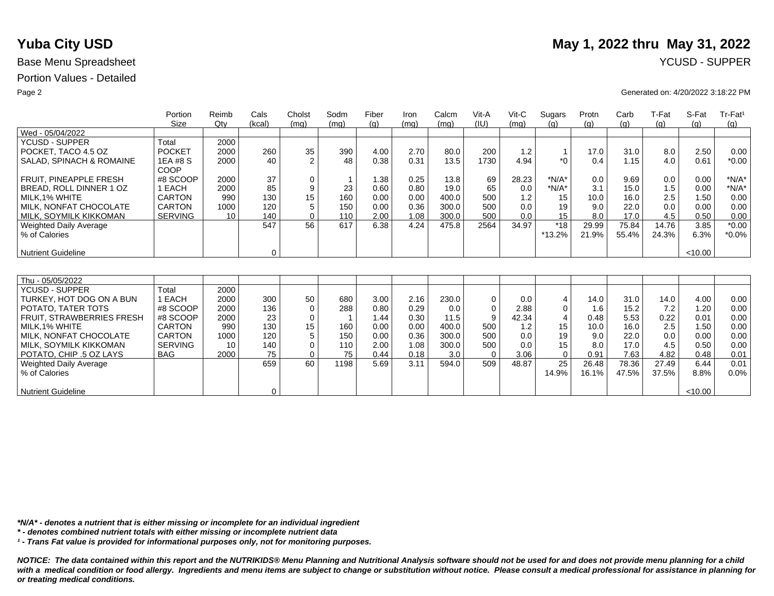## Portion Values - Detailed

|                           | Portion<br>Size | Reimb<br>$Q$ ty | Cals<br>(kcal) | Cholst<br>(mg) | Sodm<br>(mq) | Fiber<br>(q) | Iron<br>(mq) | Calcm<br>(mq) | Vit-A<br>(IU) | $V$ it-C<br>(mq) | Sugars<br>(q)  | Protn<br>(q) | Carb<br>(g) | T-Fat<br>(g) | S-Fat<br>(q) | Tr-Fat <sup>1</sup><br>(g) |
|---------------------------|-----------------|-----------------|----------------|----------------|--------------|--------------|--------------|---------------|---------------|------------------|----------------|--------------|-------------|--------------|--------------|----------------------------|
| Wed - 05/04/2022          |                 |                 |                |                |              |              |              |               |               |                  |                |              |             |              |              |                            |
| <b>YCUSD - SUPPER</b>     | Total           | 2000            |                |                |              |              |              |               |               |                  |                |              |             |              |              |                            |
| POCKET, TACO 4.5 OZ       | <b>POCKET</b>   | 2000            | 260            | 35             | 390          | 4.00         | 2.70         | 80.0          | 200           | 1.2              | $\overline{1}$ | 17.0         | 31.0        | 8.0          | 2.50         | 0.00                       |
| SALAD, SPINACH & ROMAINE  | 1EA #8 S        | 2000            | 40             | $\overline{2}$ | 48           | 0.38         | 0.31         | 13.5          | 1730          | 4.94             | $*$ $\cap$     | 0.4          | 1.15        | 4.0          | 0.61         | $*0.00$                    |
|                           | COOP            |                 |                |                |              |              |              |               |               |                  |                |              |             |              |              |                            |
| FRUIT. PINEAPPLE FRESH    | #8 SCOOP        | 2000            | 37             | 0              |              | 1.38         | 0.25         | 13.8          | 69            | 28.23            | $*N/A*$        | 0.0          | 9.69        | 0.0          | 0.00         | $*N/A*$                    |
| BREAD, ROLL DINNER 1 OZ   | 1 EACH          | 2000            | 85             | 9              | 23           | 0.60         | 0.80         | 19.0          | 65            | 0.0              | $*N/A*$        | 3.1          | 15.0        | 1.5          | 0.00         | $*N/A*$                    |
| MILK.1% WHITE             | <b>CARTON</b>   | 990             | 130            | 15             | 160          | 0.00         | 0.00         | 400.0         | 500           | 1.2              | 15             | 10.0         | 16.0        | 2.5          | 1.50         | 0.00                       |
| MILK, NONFAT CHOCOLATE    | <b>CARTON</b>   | 1000            | 120            | 5              | 150          | 0.00         | 0.36         | 300.0         | 500           | 0.0              | 19             | 9.0          | 22.0        | 0.0          | 0.00         | 0.00                       |
| MILK, SOYMILK KIKKOMAN    | <b>SERVING</b>  | 10              | 140            | $\Omega$       | 110          | 2.00         | 1.08         | 300.0         | 500           | 0.0              | 15             | 8.0          | 17.0        | 4.5          | 0.50         | 0.00                       |
| Weighted Daily Average    |                 |                 | 547            | 56             | 617          | 6.38         | 4.24         | 475.8         | 2564          | 34.97            | $*18$          | 29.99        | 75.84       | 14.76        | 3.85         | $*0.00$                    |
| % of Calories             |                 |                 |                |                |              |              |              |               |               |                  | $*13.2%$       | 21.9%        | 55.4%       | 24.3%        | 6.3%         | $*0.0\%$                   |
|                           |                 |                 |                |                |              |              |              |               |               |                  |                |              |             |              |              |                            |
| <b>Nutrient Guideline</b> |                 |                 | $\mathbf 0$    |                |              |              |              |               |               |                  |                |              |             |              | < 10.00      |                            |
|                           |                 |                 |                |                |              |              |              |               |               |                  |                |              |             |              |              |                            |
| Thu - 05/05/2022          |                 |                 |                |                |              |              |              |               |               |                  |                |              |             |              |              |                            |
| <b>YCUSD - SUPPER</b>     | Total           | 2000            |                |                |              |              |              |               |               |                  |                |              |             |              |              |                            |
| TURKEY, HOT DOG ON A BUN  | 1 EACH          | 2000            | 300            | 50             | 680          | 3.00         | 2.16         | 230.0         | 0             | 0.0              | 4              | 14.0         | 31.0        | 14.0         | 4.00         | 0.00                       |
| POTATO, TATER TOTS        | #8 SCOOP        | 2000            | 136            | $\mathbf 0$    | 288          | 0.80         | 0.29         | 0.0           | $\Omega$      | 2.88             | 0              | 1.6          | 15.2        | 7.2          | 1.20         | 0.00                       |
| FRUIT, STRAWBERRIES FRESH | #8 SCOOP        | 2000            | 23             | $\mathbf 0$    |              | 1.44         | 0.30         | 11.5          | 9             | 42.34            | $\overline{4}$ | 0.48         | 5.53        | 0.22         | 0.01         | 0.00                       |
| MILK, 1% WHITE            | <b>CARTON</b>   | 990             | 130            | 15             | 160          | 0.00         | 0.00         | 400.0         | 500           | 1.2              | 15             | 10.0         | 16.0        | 2.5          | 1.50         | 0.00                       |
| MILK. NONFAT CHOCOLATE    | CARTON          | 1000            | 120            | 5              | 150          | 0.00         | 0.36         | 300.0         | 500           | 0.0              | 19             | 9.0          | 22.0        | 0.0          | 0.00         | 0.00                       |
| MILK, SOYMILK KIKKOMAN    | <b>SERVING</b>  | 10              | 140            | $\Omega$       | 110          | 2.00         | 1.08         | 300.0         | 500           | 0.0              | 15             | 8.0          | 17.0        | 4.5          | 0.50         | 0.00                       |
| POTATO, CHIP .5 OZ LAYS   | <b>BAG</b>      | 2000            | 75             | $\Omega$       | 75           | 0.44         | 0.18         | 3.0           | $\Omega$      | 3.06             | $\mathbf 0$    | 0.91         | 7.63        | 4.82         | 0.48         | 0.01                       |
| Weighted Daily Average    |                 |                 | 659            | 60             | 1198         | 5.69         | 3.11         | 594.0         | 509           | 48.87            | 25             | 26.48        | 78.36       | 27.49        | 6.44         | 0.01                       |
| % of Calories             |                 |                 |                |                |              |              |              |               |               |                  | 14.9%          | 16.1%        | 47.5%       | 37.5%        | 8.8%         | 0.0%                       |
|                           |                 |                 |                |                |              |              |              |               |               |                  |                |              |             |              |              |                            |
| <b>Nutrient Guideline</b> |                 |                 | 0              |                |              |              |              |               |               |                  |                |              |             |              | < 10.00      |                            |

*\*N/A\* - denotes a nutrient that is either missing or incomplete for an individual ingredient*

*\* - denotes combined nutrient totals with either missing or incomplete nutrient data*

*¹ - Trans Fat value is provided for informational purposes only, not for monitoring purposes.*

*NOTICE: The data contained within this report and the NUTRIKIDS® Menu Planning and Nutritional Analysis software should not be used for and does not provide menu planning for a child*  with a medical condition or food allergy. Ingredients and menu items are subject to change or substitution without notice. Please consult a medical professional for assistance in planning for *or treating medical conditions.*

# **Yuba City USD** May 1, 2022 thru May 31, 2022

### Page 2 Generated on: 4/20/2022 3:18:22 PM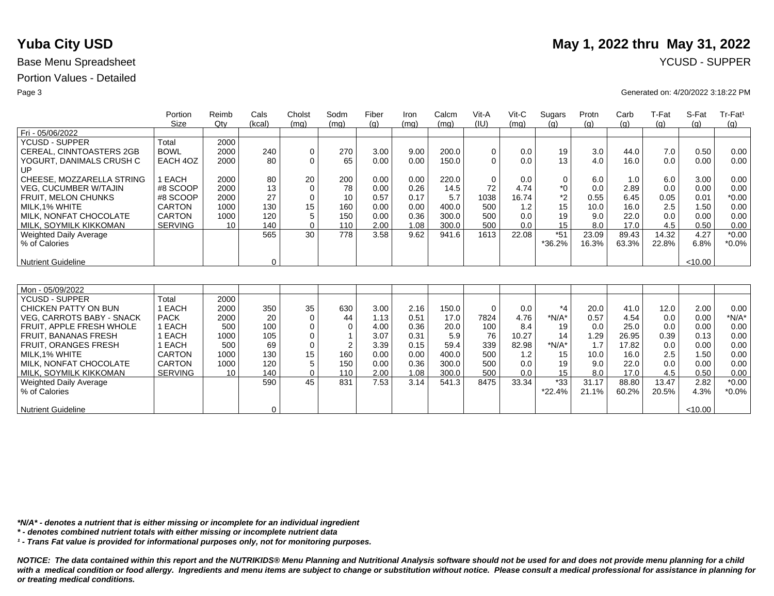## Portion Values - Detailed

|                                  | Portion        | Reimb  | Cals        | Cholst      | Sodm           | Fiber | Iron | Calcm | Vit-A       | Vit-C | Sugars      | Protn | Carb  | T-Fat | S-Fat   | Tr-Fat <sup>1</sup> |
|----------------------------------|----------------|--------|-------------|-------------|----------------|-------|------|-------|-------------|-------|-------------|-------|-------|-------|---------|---------------------|
|                                  | Size           | $Q$ ty | (kcal)      | (mq)        | (mq)           | (a)   | (mq) | (mq)  | (IU)        | (mq)  | (q)         | (q)   | (q)   | (g)   | (q)     | (g)                 |
| Fri - 05/06/2022                 |                |        |             |             |                |       |      |       |             |       |             |       |       |       |         |                     |
| <b>YCUSD - SUPPER</b>            | Total          | 2000   |             |             |                |       |      |       |             |       |             |       |       |       |         |                     |
| CEREAL, CINNTOASTERS 2GB         | <b>BOWL</b>    | 2000   | 240         | 0           | 270            | 3.00  | 9.00 | 200.0 | 0           | 0.0   | 19          | 3.0   | 44.0  | 7.0   | 0.50    | 0.00                |
| YOGURT, DANIMALS CRUSH C         | EACH 4OZ       | 2000   | 80          | $\Omega$    | 65             | 0.00  | 0.00 | 150.0 | $\Omega$    | 0.0   | 13          | 4.0   | 16.0  | 0.0   | 0.00    | 0.00                |
| UP                               |                |        |             |             |                |       |      |       |             |       |             |       |       |       |         |                     |
| CHEESE, MOZZARELLA STRING        | 1 EACH         | 2000   | 80          | 20          | 200            | 0.00  | 0.00 | 220.0 | $\mathbf 0$ | 0.0   | $\mathbf 0$ | 6.0   | 1.0   | 6.0   | 3.00    | 0.00                |
| <b>VEG. CUCUMBER W/TAJIN</b>     | #8 SCOOP       | 2000   | 13          | $\mathbf 0$ | 78             | 0.00  | 0.26 | 14.5  | 72          | 4.74  | $*0$        | 0.0   | 2.89  | 0.0   | 0.00    | 0.00                |
| <b>FRUIT, MELON CHUNKS</b>       | #8 SCOOP       | 2000   | 27          | $\mathbf 0$ | 10             | 0.57  | 0.17 | 5.7   | 1038        | 16.74 | $*2$        | 0.55  | 6.45  | 0.05  | 0.01    | $*0.00$             |
| MILK.1% WHITE                    | <b>CARTON</b>  | 1000   | 130         | 15          | 160            | 0.00  | 0.00 | 400.0 | 500         | 1.2   | 15          | 10.0  | 16.0  | 2.5   | 1.50    | 0.00                |
| MILK, NONFAT CHOCOLATE           | <b>CARTON</b>  | 1000   | 120         | 5           | 150            | 0.00  | 0.36 | 300.0 | 500         | 0.0   | 19          | 9.0   | 22.0  | 0.0   | 0.00    | 0.00                |
| MILK, SOYMILK KIKKOMAN           | <b>SERVING</b> | 10     | 140         | $\Omega$    | 110            | 2.00  | 1.08 | 300.0 | 500         | 0.0   | 15          | 8.0   | 17.0  | 4.5   | 0.50    | 0.00                |
| <b>Weighted Daily Average</b>    |                |        | 565         | 30          | 778            | 3.58  | 9.62 | 941.6 | 1613        | 22.08 | $*51$       | 23.09 | 89.43 | 14.32 | 4.27    | $*0.00$             |
| % of Calories                    |                |        |             |             |                |       |      |       |             |       | *36.2%      | 16.3% | 63.3% | 22.8% | 6.8%    | $*0.0\%$            |
|                                  |                |        |             |             |                |       |      |       |             |       |             |       |       |       |         |                     |
| <b>Nutrient Guideline</b>        |                |        | $\mathbf 0$ |             |                |       |      |       |             |       |             |       |       |       | < 10.00 |                     |
|                                  |                |        |             |             |                |       |      |       |             |       |             |       |       |       |         |                     |
|                                  |                |        |             |             |                |       |      |       |             |       |             |       |       |       |         |                     |
| Mon - 05/09/2022                 |                |        |             |             |                |       |      |       |             |       |             |       |       |       |         |                     |
| <b>YCUSD - SUPPER</b>            | Total          | 2000   |             |             |                |       |      |       |             |       |             |       |       |       |         |                     |
| CHICKEN PATTY ON BUN             | 1 EACH         | 2000   | 350         | 35          | 630            | 3.00  | 2.16 | 150.0 | $\mathbf 0$ | 0.0   | $*_{4}$     | 20.0  | 41.0  | 12.0  | 2.00    | 0.00                |
| <b>VEG. CARROTS BABY - SNACK</b> | <b>PACK</b>    | 2000   | 20          | $\mathbf 0$ | 44             | 1.13  | 0.51 | 17.0  | 7824        | 4.76  | $*N/A*$     | 0.57  | 4.54  | 0.0   | 0.00    | $*N/A*$             |
| FRUIT, APPLE FRESH WHOLE         | 1 EACH         | 500    | 100         | $\mathbf 0$ | $\Omega$       | 4.00  | 0.36 | 20.0  | 100         | 8.4   | 19          | 0.0   | 25.0  | 0.0   | 0.00    | 0.00                |
| <b>FRUIT, BANANAS FRESH</b>      | 1 EACH         | 1000   | 105         | 0           |                | 3.07  | 0.31 | 5.9   | 76          | 10.27 | 14          | 1.29  | 26.95 | 0.39  | 0.13    | 0.00                |
| FRUIT, ORANGES FRESH             | EACH           | 500    | 69          | $\mathbf 0$ | $\overline{2}$ | 3.39  | 0.15 | 59.4  | 339         | 82.98 | $*N/A*$     | 1.7   | 17.82 | 0.0   | 0.00    | 0.00                |
| MILK.1% WHITE                    | <b>CARTON</b>  | 1000   | 130         | 15          | 160            | 0.00  | 0.00 | 400.0 | 500         | 1.2   | 15          | 10.0  | 16.0  | 2.5   | 1.50    | 0.00                |
| MILK, NONFAT CHOCOLATE           | CARTON         | 1000   | 120         | 5           | 150            | 0.00  | 0.36 | 300.0 | 500         | 0.0   | 19          | 9.0   | 22.0  | 0.0   | 0.00    | 0.00                |
| MILK, SOYMILK KIKKOMAN           | <b>SERVING</b> | 10     | 140         | $\Omega$    | 110            | 2.00  | 1.08 | 300.0 | 500         | 0.0   | 15          | 8.0   | 17.0  | 4.5   | 0.50    | 0.00                |
| <b>Weighted Daily Average</b>    |                |        | 590         | 45          | 831            | 7.53  | 3.14 | 541.3 | 8475        | 33.34 | $*33$       | 31.17 | 88.80 | 13.47 | 2.82    | $*0.00$             |
| % of Calories                    |                |        |             |             |                |       |      |       |             |       | $*22.4%$    | 21.1% | 60.2% | 20.5% | 4.3%    | $*0.0\%$            |
|                                  |                |        |             |             |                |       |      |       |             |       |             |       |       |       |         |                     |
| <b>Nutrient Guideline</b>        |                |        | 0           |             |                |       |      |       |             |       |             |       |       |       | <10.00  |                     |

*\*N/A\* - denotes a nutrient that is either missing or incomplete for an individual ingredient*

*\* - denotes combined nutrient totals with either missing or incomplete nutrient data*

*¹ - Trans Fat value is provided for informational purposes only, not for monitoring purposes.*

*NOTICE: The data contained within this report and the NUTRIKIDS® Menu Planning and Nutritional Analysis software should not be used for and does not provide menu planning for a child*  with a medical condition or food allergy. Ingredients and menu items are subject to change or substitution without notice. Please consult a medical professional for assistance in planning for *or treating medical conditions.*

# **Yuba City USD** May 1, 2022 thru May 31, 2022

### Page 3 Generated on: 4/20/2022 3:18:22 PM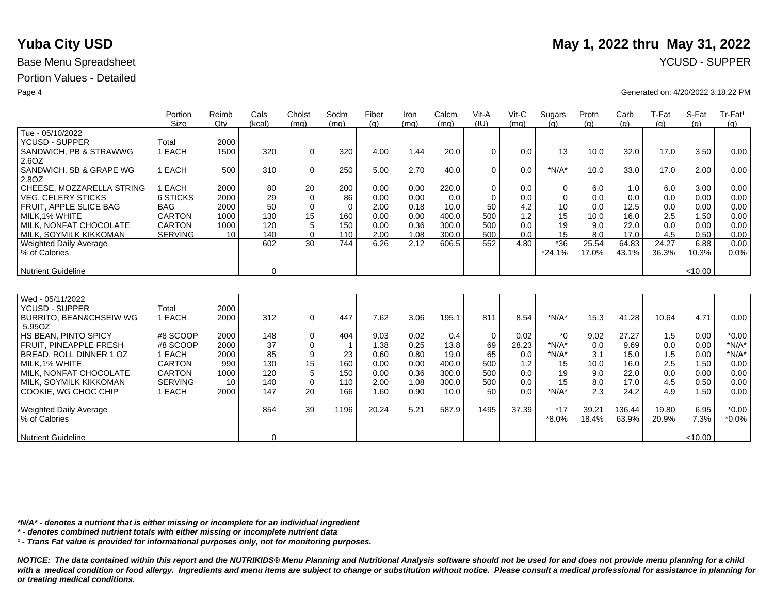## Portion Values - Detailed

|                                    | Portion        | Reimb  | Cals        | Cholst      | Sodm        | Fiber | Iron | Calcm | Vit-A       | $V$ it-C | Sugars   | Protn | Carb   | T-Fat | S-Fat   | Tr-Fat <sup>1</sup> |
|------------------------------------|----------------|--------|-------------|-------------|-------------|-------|------|-------|-------------|----------|----------|-------|--------|-------|---------|---------------------|
|                                    | <b>Size</b>    | $Q$ ty | (kcal)      | (mq)        | (mq)        | (q)   | (mq) | (mq)  | (IU)        | (mq)     | (q)      | (q)   | (q)    | (g)   | (q)     | (g)                 |
| Tue - 05/10/2022                   |                |        |             |             |             |       |      |       |             |          |          |       |        |       |         |                     |
| <b>YCUSD - SUPPER</b>              | Total          | 2000   |             |             |             |       |      |       |             |          |          |       |        |       |         |                     |
| SANDWICH, PB & STRAWWG             | 1 EACH         | 1500   | 320         | $\mathbf 0$ | 320         | 4.00  | 1.44 | 20.0  | $\Omega$    | 0.0      | 13       | 10.0  | 32.0   | 17.0  | 3.50    | 0.00                |
| 2.6OZ                              |                |        |             |             |             |       |      |       |             |          |          |       |        |       |         |                     |
| SANDWICH, SB & GRAPE WG            | 1 EACH         | 500    | 310         | 0           | 250         | 5.00  | 2.70 | 40.0  | $\Omega$    | 0.0      | $*N/A*$  | 10.0  | 33.0   | 17.0  | 2.00    | 0.00                |
| 2.8OZ                              |                |        |             |             |             |       |      |       |             |          |          |       |        |       |         |                     |
| CHEESE, MOZZARELLA STRING          | EACH           | 2000   | 80          | 20          | 200         | 0.00  | 0.00 | 220.0 | $\mathbf 0$ | 0.0      | 0        | 6.0   | 1.0    | 6.0   | 3.00    | 0.00                |
| <b>VEG, CELERY STICKS</b>          | 6 STICKS       | 2000   | 29          | $\mathbf 0$ | 86          | 0.00  | 0.00 | 0.0   | $\mathbf 0$ | 0.0      | $\Omega$ | 0.0   | 0.0    | 0.0   | 0.00    | 0.00                |
| FRUIT, APPLE SLICE BAG             | <b>BAG</b>     | 2000   | 50          | $\mathbf 0$ | $\mathbf 0$ | 2.00  | 0.18 | 10.0  | 50          | 4.2      | 10       | 0.0   | 12.5   | 0.0   | 0.00    | 0.00                |
| MILK.1% WHITE                      | <b>CARTON</b>  | 1000   | 130         | 15          | 160         | 0.00  | 0.00 | 400.0 | 500         | 1.2      | 15       | 10.0  | 16.0   | 2.5   | 1.50    | 0.00                |
| MILK. NONFAT CHOCOLATE             | <b>CARTON</b>  | 1000   | 120         | 5           | 150         | 0.00  | 0.36 | 300.0 | 500         | 0.0      | 19       | 9.0   | 22.0   | 0.0   | 0.00    | 0.00                |
| MILK, SOYMILK KIKKOMAN             | <b>SERVING</b> | 10     | 140         | $\mathbf 0$ | 110         | 2.00  | 1.08 | 300.0 | 500         | 0.0      | 15       | 8.0   | 17.0   | 4.5   | 0.50    | 0.00                |
| <b>Weighted Daily Average</b>      |                |        | 602         | 30          | 744         | 6.26  | 2.12 | 606.5 | 552         | 4.80     | $*36$    | 25.54 | 64.83  | 24.27 | 6.88    | 0.00                |
| % of Calories                      |                |        |             |             |             |       |      |       |             |          | $*24.1%$ | 17.0% | 43.1%  | 36.3% | 10.3%   | 0.0%                |
|                                    |                |        |             |             |             |       |      |       |             |          |          |       |        |       |         |                     |
| <b>Nutrient Guideline</b>          |                |        | $\mathbf 0$ |             |             |       |      |       |             |          |          |       |        |       | < 10.00 |                     |
|                                    |                |        |             |             |             |       |      |       |             |          |          |       |        |       |         |                     |
|                                    |                |        |             |             |             |       |      |       |             |          |          |       |        |       |         |                     |
| Wed - 05/11/2022                   |                |        |             |             |             |       |      |       |             |          |          |       |        |       |         |                     |
| YCUSD - SUPPER                     | Total          | 2000   |             |             |             |       |      |       |             |          |          |       |        |       |         |                     |
| <b>BURRITO, BEAN&amp;CHSEIW WG</b> | 1 EACH         | 2000   | 312         | $\mathbf 0$ | 447         | 7.62  | 3.06 | 195.1 | 811         | 8.54     | $*N/A*$  | 15.3  | 41.28  | 10.64 | 4.71    | 0.00                |
| 5.95OZ                             |                |        |             |             |             |       |      |       |             |          |          |       |        |       |         |                     |
| <b>HS BEAN, PINTO SPICY</b>        | #8 SCOOP       | 2000   | 148         | 0           | 404         | 9.03  | 0.02 | 0.4   | $\mathbf 0$ | 0.02     | $*_{0}$  | 9.02  | 27.27  | 1.5   | 0.00    | $*0.00$             |
| FRUIT. PINEAPPLE FRESH             | #8 SCOOP       | 2000   | 37          | $\mathbf 0$ |             | 1.38  | 0.25 | 13.8  | 69          | 28.23    | $*N/A*$  | 0.0   | 9.69   | 0.0   | 0.00    | $*N/A*$             |
| BREAD, ROLL DINNER 1 OZ            | 1 EACH         | 2000   | 85          | 9           | 23          | 0.60  | 0.80 | 19.0  | 65          | 0.0      | $*N/A*$  | 3.1   | 15.0   | 1.5   | 0.00    | $*N/A*$             |
| MILK.1% WHITE                      | <b>CARTON</b>  | 990    | 130         | 15          | 160         | 0.00  | 0.00 | 400.0 | 500         | 1.2      | 15       | 10.0  | 16.0   | 2.5   | 1.50    | 0.00                |
| MILK. NONFAT CHOCOLATE             | <b>CARTON</b>  | 1000   | 120         | 5           | 150         | 0.00  | 0.36 | 300.0 | 500         | 0.0      | 19       | 9.0   | 22.0   | 0.0   | 0.00    | 0.00                |
| MILK, SOYMILK KIKKOMAN             | <b>SERVING</b> | 10     | 140         | $\mathbf 0$ | 110         | 2.00  | 1.08 | 300.0 | 500         | 0.0      | 15       | 8.0   | 17.0   | 4.5   | 0.50    | 0.00                |
| COOKIE, WG CHOC CHIP               | 1 EACH         | 2000   | 147         | 20          | 166         | 1.60  | 0.90 | 10.0  | 50          | 0.0      | $*N/A*$  | 2.3   | 24.2   | 4.9   | 1.50    | 0.00                |
|                                    |                |        |             |             |             |       |      |       |             |          |          |       |        |       |         |                     |
| Weighted Daily Average             |                |        | 854         | 39          | 1196        | 20.24 | 5.21 | 587.9 | 1495        | 37.39    | $*17$    | 39.21 | 136.44 | 19.80 | 6.95    | $*0.00$             |
| % of Calories                      |                |        |             |             |             |       |      |       |             |          | $*8.0\%$ | 18.4% | 63.9%  | 20.9% | 7.3%    | $*0.0\%$            |
|                                    |                |        |             |             |             |       |      |       |             |          |          |       |        |       |         |                     |
| <b>Nutrient Guideline</b>          |                |        | 0           |             |             |       |      |       |             |          |          |       |        |       | < 10.00 |                     |

*\*N/A\* - denotes a nutrient that is either missing or incomplete for an individual ingredient*

*\* - denotes combined nutrient totals with either missing or incomplete nutrient data*

*¹ - Trans Fat value is provided for informational purposes only, not for monitoring purposes.*

*NOTICE: The data contained within this report and the NUTRIKIDS® Menu Planning and Nutritional Analysis software should not be used for and does not provide menu planning for a child*  with a medical condition or food allergy. Ingredients and menu items are subject to change or substitution without notice. Please consult a medical professional for assistance in planning for *or treating medical conditions.*

# **Yuba City USD** May 1, 2022 thru May 31, 2022

### Page 4 Generated on: 4/20/2022 3:18:22 PM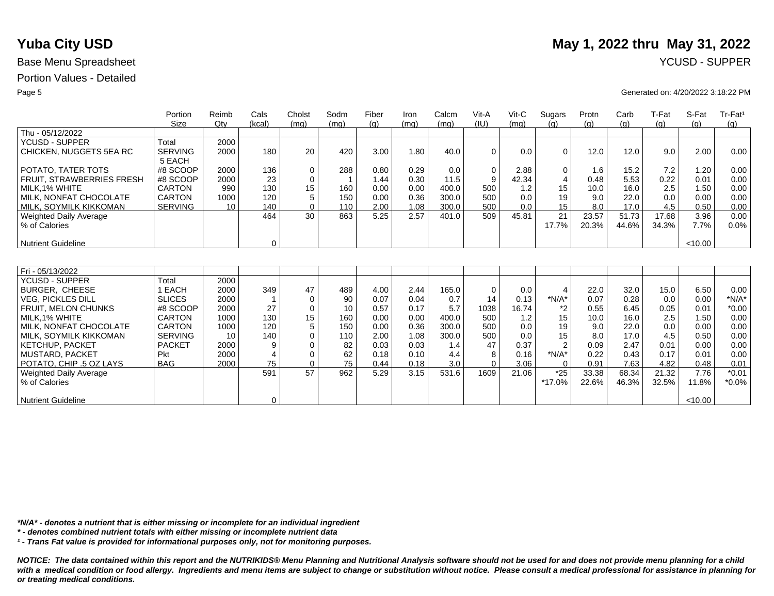## Portion Values - Detailed

|                               | Portion        | Reimb | Cals           | Cholst      | Sodm | Fiber | Iron | Calcm | Vit-A       | $V$ it-C | Sugars                | Protn | Carb  | T-Fat | S-Fat   | Tr-Fat <sup>1</sup> |
|-------------------------------|----------------|-------|----------------|-------------|------|-------|------|-------|-------------|----------|-----------------------|-------|-------|-------|---------|---------------------|
|                               | Size           | Qty   | (kcal)         | (mq)        | (mq) | (q)   | (mq) | (mq)  | (IU)        | (mq)     | (q)                   | (a)   | (q)   | (g)   | (q)     | (g)                 |
| Thu - 05/12/2022              |                |       |                |             |      |       |      |       |             |          |                       |       |       |       |         |                     |
| <b>YCUSD - SUPPER</b>         | Total          | 2000  |                |             |      |       |      |       |             |          |                       |       |       |       |         |                     |
| CHICKEN, NUGGETS 5EA RC       | <b>SERVING</b> | 2000  | 180            | 20          | 420  | 3.00  | 1.80 | 40.0  | $\Omega$    | 0.0      | $\Omega$              | 12.0  | 12.0  | 9.0   | 2.00    | 0.00                |
|                               | 5 EACH         |       |                |             |      |       |      |       |             |          |                       |       |       |       |         |                     |
| POTATO. TATER TOTS            | #8 SCOOP       | 2000  | 136            | 0           | 288  | 0.80  | 0.29 | 0.0   | $\mathbf 0$ | 2.88     | $\mathbf 0$           | 1.6   | 15.2  | 7.2   | 1.20    | 0.00                |
| FRUIT, STRAWBERRIES FRESH     | #8 SCOOP       | 2000  | 23             | $\mathbf 0$ | -1   | 1.44  | 0.30 | 11.5  | 9           | 42.34    | $\overline{4}$        | 0.48  | 5.53  | 0.22  | 0.01    | 0.00                |
| MILK, 1% WHITE                | CARTON         | 990   | 130            | 15          | 160  | 0.00  | 0.00 | 400.0 | 500         | 1.2      | 15                    | 10.0  | 16.0  | 2.5   | 1.50    | 0.00                |
| MILK, NONFAT CHOCOLATE        | CARTON         | 1000  | 120            | 5           | 150  | 0.00  | 0.36 | 300.0 | 500         | 0.0      | 19                    | 9.0   | 22.0  | 0.0   | 0.00    | 0.00                |
| MILK, SOYMILK KIKKOMAN        | <b>SERVING</b> | 10    | 140            | $\mathbf 0$ | 110  | 2.00  | 1.08 | 300.0 | 500         | 0.0      | 15                    | 8.0   | 17.0  | 4.5   | 0.50    | 0.00                |
| <b>Weighted Daily Average</b> |                |       | 464            | 30          | 863  | 5.25  | 2.57 | 401.0 | 509         | 45.81    | 21                    | 23.57 | 51.73 | 17.68 | 3.96    | 0.00                |
| % of Calories                 |                |       |                |             |      |       |      |       |             |          | 17.7%                 | 20.3% | 44.6% | 34.3% | 7.7%    | 0.0%                |
|                               |                |       |                |             |      |       |      |       |             |          |                       |       |       |       |         |                     |
| <b>Nutrient Guideline</b>     |                |       | $\mathbf 0$    |             |      |       |      |       |             |          |                       |       |       |       | < 10.00 |                     |
|                               |                |       |                |             |      |       |      |       |             |          |                       |       |       |       |         |                     |
|                               |                |       |                |             |      |       |      |       |             |          |                       |       |       |       |         |                     |
| Fri - 05/13/2022              |                |       |                |             |      |       |      |       |             |          |                       |       |       |       |         |                     |
| YCUSD - SUPPER                | Total          | 2000  |                |             |      |       |      |       |             |          |                       |       |       |       |         |                     |
| BURGER, CHEESE                | 1 EACH         | 2000  | 349            | 47          | 489  | 4.00  | 2.44 | 165.0 | 0           | 0.0      | $\boldsymbol{\Delta}$ | 22.0  | 32.0  | 15.0  | 6.50    | 0.00                |
| <b>VEG. PICKLES DILL</b>      | <b>SLICES</b>  | 2000  |                | $\mathbf 0$ | 90   | 0.07  | 0.04 | 0.7   | 14          | 0.13     | $*N/A*$               | 0.07  | 0.28  | 0.0   | 0.00    | $*N/A*$             |
| FRUIT, MELON CHUNKS           | #8 SCOOP       | 2000  | 27             | $\mathbf 0$ | 10   | 0.57  | 0.17 | 5.7   | 1038        | 16.74    | *2                    | 0.55  | 6.45  | 0.05  | 0.01    | $*0.00$             |
| MILK.1% WHITE                 | <b>CARTON</b>  | 1000  | 130            | 15          | 160  | 0.00  | 0.00 | 400.0 | 500         | 1.2      | 15                    | 10.0  | 16.0  | 2.5   | 1.50    | 0.00                |
| MILK, NONFAT CHOCOLATE        | <b>CARTON</b>  | 1000  | 120            | 5           | 150  | 0.00  | 0.36 | 300.0 | 500         | 0.0      | 19                    | 9.0   | 22.0  | 0.0   | 0.00    | 0.00                |
| MILK, SOYMILK KIKKOMAN        | <b>SERVING</b> | 10    | 140            | $\Omega$    | 110  | 2.00  | 1.08 | 300.0 | 500         | 0.0      | 15                    | 8.0   | 17.0  | 4.5   | 0.50    | 0.00                |
| <b>KETCHUP, PACKET</b>        | <b>PACKET</b>  | 2000  | 9              | $\Omega$    | 82   | 0.03  | 0.03 | 1.4   | 47          | 0.37     | $\mathcal{P}$         | 0.09  | 2.47  | 0.01  | 0.00    | 0.00                |
| <b>MUSTARD, PACKET</b>        | Pkt            | 2000  | $\overline{4}$ | $\mathbf 0$ | 62   | 0.18  | 0.10 | 4.4   | 8           | 0.16     | $*N/A*$               | 0.22  | 0.43  | 0.17  | 0.01    | 0.00                |
| POTATO, CHIP .5 OZ LAYS       | <b>BAG</b>     | 2000  | 75             | $\Omega$    | 75   | 0.44  | 0.18 | 3.0   | $\Omega$    | 3.06     | $\Omega$              | 0.91  | 7.63  | 4.82  | 0.48    | 0.01                |
| <b>Weighted Daily Average</b> |                |       | 591            | 57          | 962  | 5.29  | 3.15 | 531.6 | 1609        | 21.06    | $*25$                 | 33.38 | 68.34 | 21.32 | 7.76    | $*0.01$             |
| % of Calories                 |                |       |                |             |      |       |      |       |             |          | *17.0%                | 22.6% | 46.3% | 32.5% | 11.8%   | $*0.0\%$            |
|                               |                |       |                |             |      |       |      |       |             |          |                       |       |       |       |         |                     |
| <b>Nutrient Guideline</b>     |                |       | $\mathbf 0$    |             |      |       |      |       |             |          |                       |       |       |       | < 10.00 |                     |

*\*N/A\* - denotes a nutrient that is either missing or incomplete for an individual ingredient*

*\* - denotes combined nutrient totals with either missing or incomplete nutrient data*

*¹ - Trans Fat value is provided for informational purposes only, not for monitoring purposes.*

*NOTICE: The data contained within this report and the NUTRIKIDS® Menu Planning and Nutritional Analysis software should not be used for and does not provide menu planning for a child*  with a medical condition or food allergy. Ingredients and menu items are subject to change or substitution without notice. Please consult a medical professional for assistance in planning for *or treating medical conditions.*

# **Yuba City USD** May 1, 2022 thru May 31, 2022

### Page 5 Generated on: 4/20/2022 3:18:22 PM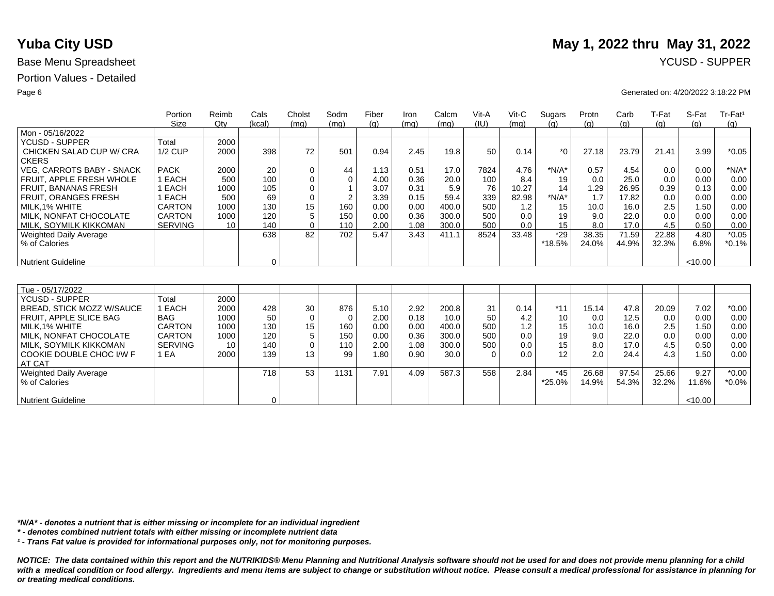## Portion Values - Detailed

|                                  | Portion        | Reimb  | Cals        | Cholst      | Sodm        | Fiber | Iron | Calcm | Vit-A    | $V$ it-C | Sugars  | Protn | Carb  | T-Fat | S-Fat   | Tr-Fat <sup>1</sup> |
|----------------------------------|----------------|--------|-------------|-------------|-------------|-------|------|-------|----------|----------|---------|-------|-------|-------|---------|---------------------|
|                                  | <b>Size</b>    | $Q$ ty | (kcal)      | (mq)        | (mq)        | (a)   | (mq) | (mq)  | (IU)     | (mq)     | (q)     | (a)   | (g)   | (q)   | (q)     | (q)                 |
| Mon - 05/16/2022                 |                |        |             |             |             |       |      |       |          |          |         |       |       |       |         |                     |
| <b>YCUSD - SUPPER</b>            | Total          | 2000   |             |             |             |       |      |       |          |          |         |       |       |       |         |                     |
| CHICKEN SALAD CUP W/ CRA         | $1/2$ CUP      | 2000   | 398         | 72          | 501         | 0.94  | 2.45 | 19.8  | 50       | 0.14     | $*_{0}$ | 27.18 | 23.79 | 21.41 | 3.99    | $*0.05$             |
| <b>CKERS</b>                     |                |        |             |             |             |       |      |       |          |          |         |       |       |       |         |                     |
| <b>VEG. CARROTS BABY - SNACK</b> | <b>PACK</b>    | 2000   | 20          | 0           | 44          | 1.13  | 0.51 | 17.0  | 7824     | 4.76     | $*N/A*$ | 0.57  | 4.54  | 0.0   | 0.00    | $*N/A*$             |
| FRUIT. APPLE FRESH WHOLE         | 1 EACH         | 500    | 100         | 0           | $\mathbf 0$ | 4.00  | 0.36 | 20.0  | 100      | 8.4      | 19      | 0.0   | 25.0  | 0.0   | 0.00    | 0.00                |
| <b>FRUIT, BANANAS FRESH</b>      | 1 EACH         | 1000   | 105         | $\mathbf 0$ |             | 3.07  | 0.31 | 5.9   | 76       | 10.27    | 14      | 1.29  | 26.95 | 0.39  | 0.13    | 0.00                |
| FRUIT, ORANGES FRESH             | <b>EACH</b>    | 500    | 69          | $\mathbf 0$ | 2           | 3.39  | 0.15 | 59.4  | 339      | 82.98    | $*N/A*$ | 1.7   | 17.82 | 0.0   | 0.00    | 0.00                |
| MILK, 1% WHITE                   | <b>CARTON</b>  | 1000   | 130         | 15          | 160         | 0.00  | 0.00 | 400.0 | 500      | 1.2      | 15      | 10.0  | 16.0  | 2.5   | 1.50    | 0.00                |
| MILK. NONFAT CHOCOLATE           | <b>CARTON</b>  | 1000   | 120         | 5           | 150         | 0.00  | 0.36 | 300.0 | 500      | 0.0      | 19      | 9.0   | 22.0  | 0.0   | 0.00    | 0.00                |
| MILK, SOYMILK KIKKOMAN           | <b>SERVING</b> | 10     | 140         | $\Omega$    | 110         | 2.00  | 1.08 | 300.0 | 500      | 0.0      | 15      | 8.0   | 17.0  | 4.5   | 0.50    | 0.00                |
| Weighted Daily Average           |                |        | 638         | 82          | 702         | 5.47  | 3.43 | 411.1 | 8524     | 33.48    | $*29$   | 38.35 | 71.59 | 22.88 | 4.80    | $*0.05$             |
| % of Calories                    |                |        |             |             |             |       |      |       |          |          | *18.5%  | 24.0% | 44.9% | 32.3% | 6.8%    | $*0.1%$             |
|                                  |                |        |             |             |             |       |      |       |          |          |         |       |       |       |         |                     |
| <b>Nutrient Guideline</b>        |                |        | $\mathbf 0$ |             |             |       |      |       |          |          |         |       |       |       | < 10.00 |                     |
|                                  |                |        |             |             |             |       |      |       |          |          |         |       |       |       |         |                     |
|                                  |                |        |             |             |             |       |      |       |          |          |         |       |       |       |         |                     |
| Tue - 05/17/2022                 |                |        |             |             |             |       |      |       |          |          |         |       |       |       |         |                     |
| YCUSD - SUPPER                   | Total          | 2000   |             |             |             |       |      |       |          |          |         |       |       |       |         |                     |
| BREAD, STICK MOZZ W/SAUCE        | 1 EACH         | 2000   | 428         | 30          | 876         | 5.10  | 2.92 | 200.8 | 31       | 0.14     | $*11$   | 15.14 | 47.8  | 20.09 | 7.02    | $*0.00$             |
| <b>FRUIT. APPLE SLICE BAG</b>    | <b>BAG</b>     | 1000   | 50          | $\mathbf 0$ | $\Omega$    | 2.00  | 0.18 | 10.0  | 50       | 4.2      | 10      | 0.0   | 12.5  | 0.0   | 0.00    | 0.00                |
| MILK, 1% WHITE                   | <b>CARTON</b>  | 1000   | 130         | 15          | 160         | 0.00  | 0.00 | 400.0 | 500      | 1.2      | 15      | 10.0  | 16.0  | 2.5   | 1.50    | 0.00                |
| MILK. NONFAT CHOCOLATE           | <b>CARTON</b>  | 1000   | 120         | 5           | 150         | 0.00  | 0.36 | 300.0 | 500      | 0.0      | 19      | 9.0   | 22.0  | 0.0   | 0.00    | 0.00                |
| MILK, SOYMILK KIKKOMAN           | <b>SERVING</b> | 10     | 140         | $\mathbf 0$ | 110         | 2.00  | 1.08 | 300.0 | 500      | 0.0      | 15      | 8.0   | 17.0  | 4.5   | 0.50    | 0.00                |
| COOKIE DOUBLE CHOC I/W F         | 1 EA           | 2000   | 139         | 13          | 99          | 1.80  | 0.90 | 30.0  | $\Omega$ | 0.0      | 12      | 2.0   | 24.4  | 4.3   | 1.50    | 0.00                |
| AT CAT                           |                |        |             |             |             |       |      |       |          |          |         |       |       |       |         |                     |
| Weighted Daily Average           |                |        | 718         | 53          | 1131        | 7.91  | 4.09 | 587.3 | 558      | 2.84     | $*45$   | 26.68 | 97.54 | 25.66 | 9.27    | $*0.00$             |
| % of Calories                    |                |        |             |             |             |       |      |       |          |          | *25.0%  | 14.9% | 54.3% | 32.2% | 11.6%   | $*0.0\%$            |
|                                  |                |        |             |             |             |       |      |       |          |          |         |       |       |       |         |                     |
| <b>Nutrient Guideline</b>        |                |        | 0           |             |             |       |      |       |          |          |         |       |       |       | < 10.00 |                     |

*\*N/A\* - denotes a nutrient that is either missing or incomplete for an individual ingredient*

*\* - denotes combined nutrient totals with either missing or incomplete nutrient data*

*¹ - Trans Fat value is provided for informational purposes only, not for monitoring purposes.*

*NOTICE: The data contained within this report and the NUTRIKIDS® Menu Planning and Nutritional Analysis software should not be used for and does not provide menu planning for a child*  with a medical condition or food allergy. Ingredients and menu items are subject to change or substitution without notice. Please consult a medical professional for assistance in planning for *or treating medical conditions.*

# **Yuba City USD** May 1, 2022 thru May 31, 2022

### Page 6 Generated on: 4/20/2022 3:18:22 PM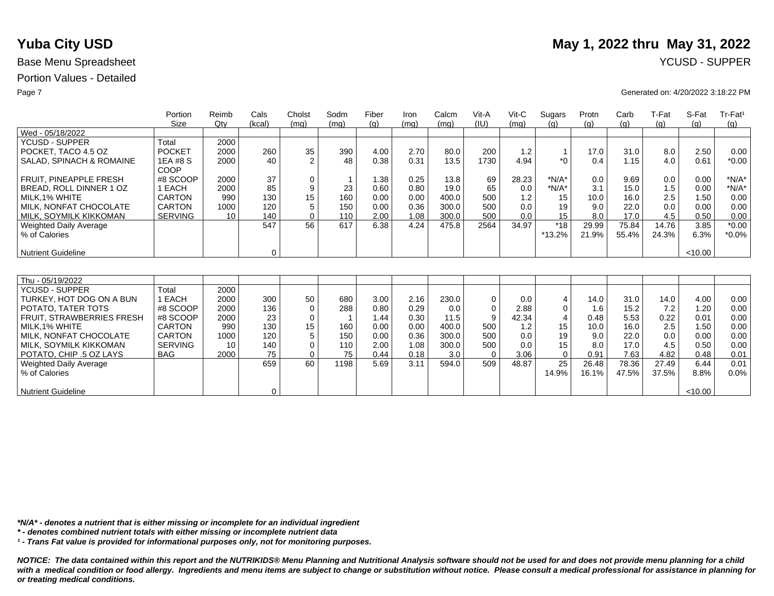## Portion Values - Detailed

|                               | Portion<br>Size | Reimb<br>Qty | Cals<br>(kcal) | Cholst<br>(mq) | Sodm<br>(mq) | Fiber<br>(q) | Iron<br>(mq) | Calcm<br>(mg) | Vit-A<br>(IU) | $V$ it-C<br>(mq) | Sugars<br>(q)    | Protn<br>(g) | Carb<br>(g) | T-Fat<br>(g) | S-Fat<br>(q) | Tr-Fat <sup>1</sup><br>(g) |
|-------------------------------|-----------------|--------------|----------------|----------------|--------------|--------------|--------------|---------------|---------------|------------------|------------------|--------------|-------------|--------------|--------------|----------------------------|
| Wed - 05/18/2022              |                 |              |                |                |              |              |              |               |               |                  |                  |              |             |              |              |                            |
| <b>YCUSD - SUPPER</b>         | Total           | 2000         |                |                |              |              |              |               |               |                  |                  |              |             |              |              |                            |
| POCKET. TACO 4.5 OZ           | <b>POCKET</b>   | 2000         | 260            | 35             | 390          | 4.00         | 2.70         | 80.0          | 200           | 1.2              | $\overline{1}$   | 17.0         | 31.0        | 8.0          | 2.50         | 0.00                       |
| SALAD, SPINACH & ROMAINE      | 1EA #8 S        | 2000         | 40             | 2              | 48           | 0.38         | 0.31         | 13.5          | 1730          | 4.94             | $*$ <sup>0</sup> | 0.4          | 1.15        | 4.0          | 0.61         | $*0.00$                    |
|                               | COOP            |              |                |                |              |              |              |               |               |                  |                  |              |             |              |              |                            |
| <b>FRUIT. PINEAPPLE FRESH</b> | #8 SCOOP        | 2000         | 37             | 0              |              | 1.38         | 0.25         | 13.8          | 69            | 28.23            | $*N/A*$          | 0.0          | 9.69        | 0.0          | 0.00         | $*N/A*$                    |
| BREAD, ROLL DINNER 1 OZ       | 1 EACH          | 2000         | 85             | 9              | 23           | 0.60         | 0.80         | 19.0          | 65            | 0.0              | $*N/A*$          | 3.1          | 15.0        | 1.5          | 0.00         | $*N/A*$                    |
| MILK.1% WHITE                 | <b>CARTON</b>   | 990          | 130            | 15             | 160          | 0.00         | 0.00         | 400.0         | 500           | 1.2              | 15               | 10.0         | 16.0        | 2.5          | 1.50         | 0.00                       |
| MILK, NONFAT CHOCOLATE        | <b>CARTON</b>   | 1000         | 120            | 5              | 150          | 0.00         | 0.36         | 300.0         | 500           | 0.0              | 19               | 9.0          | 22.0        | 0.0          | 0.00         | 0.00                       |
| MILK, SOYMILK KIKKOMAN        | <b>SERVING</b>  | 10           | 140            | $\Omega$       | 110          | 2.00         | 1.08         | 300.0         | 500           | 0.0              | 15               | 8.0          | 17.0        | 4.5          | 0.50         | 0.00                       |
| Weighted Daily Average        |                 |              | 547            | 56             | 617          | 6.38         | 4.24         | 475.8         | 2564          | 34.97            | $*18$            | 29.99        | 75.84       | 14.76        | 3.85         | $*0.00$                    |
| % of Calories                 |                 |              |                |                |              |              |              |               |               |                  | *13.2%           | 21.9%        | 55.4%       | 24.3%        | 6.3%         | $*0.0\%$                   |
|                               |                 |              |                |                |              |              |              |               |               |                  |                  |              |             |              |              |                            |
| Nutrient Guideline            |                 |              | $\mathbf 0$    |                |              |              |              |               |               |                  |                  |              |             |              | < 10.00      |                            |
|                               |                 |              |                |                |              |              |              |               |               |                  |                  |              |             |              |              |                            |
|                               |                 |              |                |                |              |              |              |               |               |                  |                  |              |             |              |              |                            |
| Thu - 05/19/2022              |                 |              |                |                |              |              |              |               |               |                  |                  |              |             |              |              |                            |
| <b>YCUSD - SUPPER</b>         | Total           | 2000         |                |                |              |              |              |               |               |                  |                  |              |             |              |              |                            |
| TURKEY, HOT DOG ON A BUN      | 1 EACH          | 2000         | 300            | 50             | 680          | 3.00         | 2.16         | 230.0         | $\mathbf 0$   | 0.0              | 4                | 14.0         | 31.0        | 14.0         | 4.00         | 0.00                       |
| POTATO, TATER TOTS            | #8 SCOOP        | 2000         | 136            | $\Omega$       | 288          | 0.80         | 0.29         | 0.0           | $\Omega$      | 2.88             | $\mathbf 0$      | 1.6          | 15.2        | 7.2          | 1.20         | 0.00                       |
| FRUIT, STRAWBERRIES FRESH     | #8 SCOOP        | 2000         | 23             | $\mathbf 0$    |              | 1.44         | 0.30         | 11.5          | 9             | 42.34            | $\overline{4}$   | 0.48         | 5.53        | 0.22         | 0.01         | 0.00                       |
| MILK.1% WHITE                 | CARTON          | 990          | 130            | 15             | 160          | 0.00         | 0.00         | 400.0         | 500           | 1.2              | 15               | 10.0         | 16.0        | 2.5          | 1.50         | 0.00                       |
| MILK, NONFAT CHOCOLATE        | CARTON          | 1000         | 120            | 5              | 150          | 0.00         | 0.36         | 300.0         | 500           | 0.0              | 19               | 9.0          | 22.0        | 0.0          | 0.00         | 0.00                       |
| MILK. SOYMILK KIKKOMAN        | <b>SERVING</b>  | 10           | 140            | $\mathbf 0$    | 110          | 2.00         | 1.08         | 300.0         | 500           | 0.0              | 15               | 8.0          | 17.0        | 4.5          | 0.50         | 0.00                       |
| POTATO, CHIP .5 OZ LAYS       | <b>BAG</b>      | 2000         | 75             | $\Omega$       | 75           | 0.44         | 0.18         | 3.0           | $\Omega$      | 3.06             | $\mathbf 0$      | 0.91         | 7.63        | 4.82         | 0.48         | 0.01                       |
| Weighted Daily Average        |                 |              | 659            | 60             | 1198         | 5.69         | 3.11         | 594.0         | 509           | 48.87            | 25               | 26.48        | 78.36       | 27.49        | 6.44         | 0.01                       |
| % of Calories                 |                 |              |                |                |              |              |              |               |               |                  | 14.9%            | 16.1%        | 47.5%       | 37.5%        | 8.8%         | 0.0%                       |
|                               |                 |              |                |                |              |              |              |               |               |                  |                  |              |             |              |              |                            |
| Nutrient Guideline            |                 |              | 0              |                |              |              |              |               |               |                  |                  |              |             |              | < 10.00      |                            |

*\*N/A\* - denotes a nutrient that is either missing or incomplete for an individual ingredient*

*\* - denotes combined nutrient totals with either missing or incomplete nutrient data*

*¹ - Trans Fat value is provided for informational purposes only, not for monitoring purposes.*

*NOTICE: The data contained within this report and the NUTRIKIDS® Menu Planning and Nutritional Analysis software should not be used for and does not provide menu planning for a child*  with a medical condition or food allergy. Ingredients and menu items are subject to change or substitution without notice. Please consult a medical professional for assistance in planning for *or treating medical conditions.*

# **Yuba City USD** May 1, 2022 thru May 31, 2022

### Page 7 Generated on: 4/20/2022 3:18:22 PM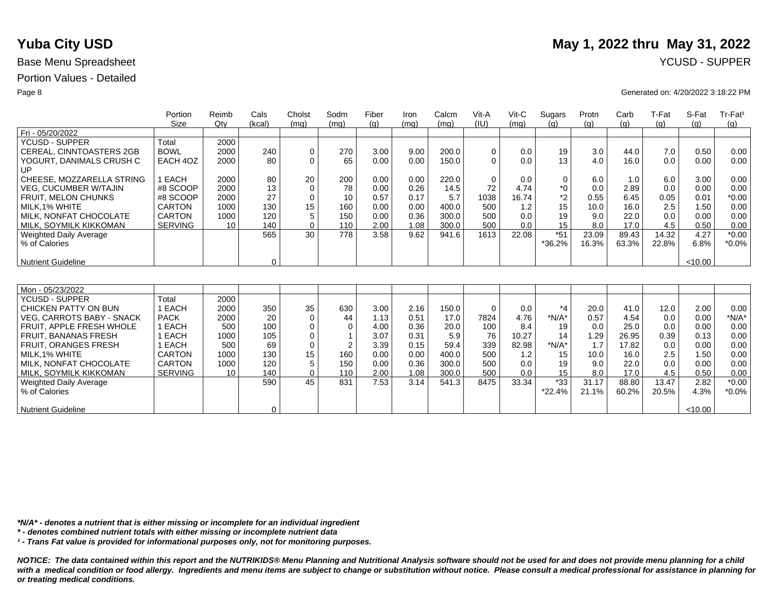## Portion Values - Detailed

|                                  | Portion        | Reimb  | Cals        | Cholst      | Sodm           | Fiber | Iron | Calcm | Vit-A       | Vit-C | Sugars      | Protn | Carb  | T-Fat | S-Fat   | Tr-Fat <sup>1</sup> |
|----------------------------------|----------------|--------|-------------|-------------|----------------|-------|------|-------|-------------|-------|-------------|-------|-------|-------|---------|---------------------|
|                                  | Size           | $Q$ ty | (kcal)      | (mq)        | (mq)           | (a)   | (mq) | (mq)  | (IU)        | (mq)  | (q)         | (q)   | (q)   | (g)   | (q)     | (g)                 |
| Fri - 05/20/2022                 |                |        |             |             |                |       |      |       |             |       |             |       |       |       |         |                     |
| <b>YCUSD - SUPPER</b>            | Total          | 2000   |             |             |                |       |      |       |             |       |             |       |       |       |         |                     |
| CEREAL, CINNTOASTERS 2GB         | <b>BOWL</b>    | 2000   | 240         | 0           | 270            | 3.00  | 9.00 | 200.0 | 0           | 0.0   | 19          | 3.0   | 44.0  | 7.0   | 0.50    | 0.00                |
| YOGURT, DANIMALS CRUSH C         | EACH 4OZ       | 2000   | 80          | $\Omega$    | 65             | 0.00  | 0.00 | 150.0 | $\Omega$    | 0.0   | 13          | 4.0   | 16.0  | 0.0   | 0.00    | 0.00                |
| UP                               |                |        |             |             |                |       |      |       |             |       |             |       |       |       |         |                     |
| CHEESE, MOZZARELLA STRING        | 1 EACH         | 2000   | 80          | 20          | 200            | 0.00  | 0.00 | 220.0 | $\mathbf 0$ | 0.0   | $\mathbf 0$ | 6.0   | 1.0   | 6.0   | 3.00    | 0.00                |
| <b>VEG. CUCUMBER W/TAJIN</b>     | #8 SCOOP       | 2000   | 13          | $\mathbf 0$ | 78             | 0.00  | 0.26 | 14.5  | 72          | 4.74  | $*0$        | 0.0   | 2.89  | 0.0   | 0.00    | 0.00                |
| <b>FRUIT, MELON CHUNKS</b>       | #8 SCOOP       | 2000   | 27          | $\mathbf 0$ | 10             | 0.57  | 0.17 | 5.7   | 1038        | 16.74 | $*2$        | 0.55  | 6.45  | 0.05  | 0.01    | $*0.00$             |
| MILK.1% WHITE                    | <b>CARTON</b>  | 1000   | 130         | 15          | 160            | 0.00  | 0.00 | 400.0 | 500         | 1.2   | 15          | 10.0  | 16.0  | 2.5   | 1.50    | 0.00                |
| MILK, NONFAT CHOCOLATE           | <b>CARTON</b>  | 1000   | 120         | 5           | 150            | 0.00  | 0.36 | 300.0 | 500         | 0.0   | 19          | 9.0   | 22.0  | 0.0   | 0.00    | 0.00                |
| MILK, SOYMILK KIKKOMAN           | <b>SERVING</b> | 10     | 140         | $\Omega$    | 110            | 2.00  | 1.08 | 300.0 | 500         | 0.0   | 15          | 8.0   | 17.0  | 4.5   | 0.50    | 0.00                |
| <b>Weighted Daily Average</b>    |                |        | 565         | 30          | 778            | 3.58  | 9.62 | 941.6 | 1613        | 22.08 | $*51$       | 23.09 | 89.43 | 14.32 | 4.27    | $*0.00$             |
| % of Calories                    |                |        |             |             |                |       |      |       |             |       | *36.2%      | 16.3% | 63.3% | 22.8% | 6.8%    | $*0.0\%$            |
|                                  |                |        |             |             |                |       |      |       |             |       |             |       |       |       |         |                     |
| <b>Nutrient Guideline</b>        |                |        | $\mathbf 0$ |             |                |       |      |       |             |       |             |       |       |       | < 10.00 |                     |
|                                  |                |        |             |             |                |       |      |       |             |       |             |       |       |       |         |                     |
|                                  |                |        |             |             |                |       |      |       |             |       |             |       |       |       |         |                     |
| Mon - 05/23/2022                 |                |        |             |             |                |       |      |       |             |       |             |       |       |       |         |                     |
| <b>YCUSD - SUPPER</b>            | Total          | 2000   |             |             |                |       |      |       |             |       |             |       |       |       |         |                     |
| CHICKEN PATTY ON BUN             | 1 EACH         | 2000   | 350         | 35          | 630            | 3.00  | 2.16 | 150.0 | $\mathbf 0$ | 0.0   | $*_{4}$     | 20.0  | 41.0  | 12.0  | 2.00    | 0.00                |
| <b>VEG. CARROTS BABY - SNACK</b> | <b>PACK</b>    | 2000   | 20          | $\mathbf 0$ | 44             | 1.13  | 0.51 | 17.0  | 7824        | 4.76  | $*N/A*$     | 0.57  | 4.54  | 0.0   | 0.00    | $*N/A*$             |
| FRUIT, APPLE FRESH WHOLE         | 1 EACH         | 500    | 100         | $\mathbf 0$ | $\Omega$       | 4.00  | 0.36 | 20.0  | 100         | 8.4   | 19          | 0.0   | 25.0  | 0.0   | 0.00    | 0.00                |
| <b>FRUIT, BANANAS FRESH</b>      | 1 EACH         | 1000   | 105         | 0           |                | 3.07  | 0.31 | 5.9   | 76          | 10.27 | 14          | 1.29  | 26.95 | 0.39  | 0.13    | 0.00                |
| FRUIT, ORANGES FRESH             | EACH           | 500    | 69          | $\mathbf 0$ | $\overline{2}$ | 3.39  | 0.15 | 59.4  | 339         | 82.98 | $*N/A*$     | 1.7   | 17.82 | 0.0   | 0.00    | 0.00                |
| MILK.1% WHITE                    | <b>CARTON</b>  | 1000   | 130         | 15          | 160            | 0.00  | 0.00 | 400.0 | 500         | 1.2   | 15          | 10.0  | 16.0  | 2.5   | 1.50    | 0.00                |
| MILK, NONFAT CHOCOLATE           | CARTON         | 1000   | 120         | 5           | 150            | 0.00  | 0.36 | 300.0 | 500         | 0.0   | 19          | 9.0   | 22.0  | 0.0   | 0.00    | 0.00                |
| MILK, SOYMILK KIKKOMAN           | <b>SERVING</b> | 10     | 140         | $\Omega$    | 110            | 2.00  | 1.08 | 300.0 | 500         | 0.0   | 15          | 8.0   | 17.0  | 4.5   | 0.50    | 0.00                |
| <b>Weighted Daily Average</b>    |                |        | 590         | 45          | 831            | 7.53  | 3.14 | 541.3 | 8475        | 33.34 | $*33$       | 31.17 | 88.80 | 13.47 | 2.82    | $*0.00$             |
| % of Calories                    |                |        |             |             |                |       |      |       |             |       | $*22.4%$    | 21.1% | 60.2% | 20.5% | 4.3%    | $*0.0\%$            |
|                                  |                |        |             |             |                |       |      |       |             |       |             |       |       |       |         |                     |
| <b>Nutrient Guideline</b>        |                |        | 0           |             |                |       |      |       |             |       |             |       |       |       | <10.00  |                     |

*\*N/A\* - denotes a nutrient that is either missing or incomplete for an individual ingredient*

*\* - denotes combined nutrient totals with either missing or incomplete nutrient data*

*¹ - Trans Fat value is provided for informational purposes only, not for monitoring purposes.*

*NOTICE: The data contained within this report and the NUTRIKIDS® Menu Planning and Nutritional Analysis software should not be used for and does not provide menu planning for a child*  with a medical condition or food allergy. Ingredients and menu items are subject to change or substitution without notice. Please consult a medical professional for assistance in planning for *or treating medical conditions.*

# **Yuba City USD** May 1, 2022 thru May 31, 2022

### Page 8 Generated on: 4/20/2022 3:18:22 PM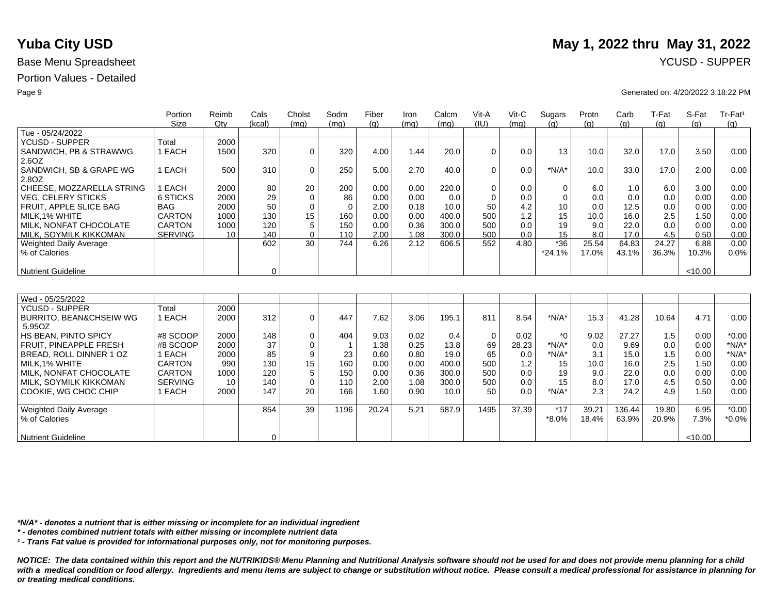## Portion Values - Detailed

|                                    | Portion        | Reimb  | Cals     | Cholst      | Sodm        | Fiber | Iron | Calcm | Vit-A       | Vit-C | Sugars      | Protn | Carb   | T-Fat | S-Fat   | Tr-Fat <sup>1</sup> |
|------------------------------------|----------------|--------|----------|-------------|-------------|-------|------|-------|-------------|-------|-------------|-------|--------|-------|---------|---------------------|
|                                    | <b>Size</b>    | $Q$ ty | (kcal)   | (mq)        | (mq)        | (g)   | (mq) | (mq)  | (IU)        | (mq)  | (g)         | (g)   | (g)    | (g)   | (g)     | (q)                 |
| Tue - 05/24/2022                   |                |        |          |             |             |       |      |       |             |       |             |       |        |       |         |                     |
| <b>YCUSD - SUPPER</b>              | Total          | 2000   |          |             |             |       |      |       |             |       |             |       |        |       |         |                     |
| SANDWICH, PB & STRAWWG             | 1 EACH         | 1500   | 320      | $\mathbf 0$ | 320         | 4.00  | 1.44 | 20.0  | $\Omega$    | 0.0   | 13          | 10.0  | 32.0   | 17.0  | 3.50    | 0.00                |
| 2.6OZ                              |                |        |          |             |             |       |      |       |             |       |             |       |        |       |         |                     |
| SANDWICH, SB & GRAPE WG            | 1 EACH         | 500    | 310      | 0           | 250         | 5.00  | 2.70 | 40.0  | $\Omega$    | 0.0   | $*N/A*$     | 10.0  | 33.0   | 17.0  | 2.00    | 0.00                |
| 2.8OZ                              |                |        |          |             |             |       |      |       |             |       |             |       |        |       |         |                     |
| CHEESE, MOZZARELLA STRING          | 1 EACH         | 2000   | 80       | 20          | 200         | 0.00  | 0.00 | 220.0 | $\mathbf 0$ | 0.0   | 0           | 6.0   | 1.0    | 6.0   | 3.00    | 0.00                |
| <b>VEG, CELERY STICKS</b>          | 6 STICKS       | 2000   | 29       | $\mathbf 0$ | 86          | 0.00  | 0.00 | 0.0   | $\Omega$    | 0.0   | $\mathbf 0$ | 0.0   | 0.0    | 0.0   | 0.00    | 0.00                |
| FRUIT, APPLE SLICE BAG             | <b>BAG</b>     | 2000   | 50       | $\mathbf 0$ | $\mathbf 0$ | 2.00  | 0.18 | 10.0  | 50          | 4.2   | 10          | 0.0   | 12.5   | 0.0   | 0.00    | 0.00                |
| MILK.1% WHITE                      | <b>CARTON</b>  | 1000   | 130      | 15          | 160         | 0.00  | 0.00 | 400.0 | 500         | 1.2   | 15          | 10.0  | 16.0   | 2.5   | 1.50    | 0.00                |
| MILK. NONFAT CHOCOLATE             | <b>CARTON</b>  | 1000   | 120      | 5           | 150         | 0.00  | 0.36 | 300.0 | 500         | 0.0   | 19          | 9.0   | 22.0   | 0.0   | 0.00    | 0.00                |
| MILK, SOYMILK KIKKOMAN             | <b>SERVING</b> | 10     | 140      | $\Omega$    | 110         | 2.00  | 1.08 | 300.0 | 500         | 0.0   | 15          | 8.0   | 17.0   | 4.5   | 0.50    | 0.00                |
| <b>Weighted Daily Average</b>      |                |        | 602      | 30          | 744         | 6.26  | 2.12 | 606.5 | 552         | 4.80  | $*36$       | 25.54 | 64.83  | 24.27 | 6.88    | 0.00                |
| % of Calories                      |                |        |          |             |             |       |      |       |             |       | *24.1%      | 17.0% | 43.1%  | 36.3% | 10.3%   | 0.0%                |
|                                    |                |        |          |             |             |       |      |       |             |       |             |       |        |       |         |                     |
| <b>Nutrient Guideline</b>          |                |        | $\Omega$ |             |             |       |      |       |             |       |             |       |        |       | < 10.00 |                     |
|                                    |                |        |          |             |             |       |      |       |             |       |             |       |        |       |         |                     |
|                                    |                |        |          |             |             |       |      |       |             |       |             |       |        |       |         |                     |
| Wed - 05/25/2022                   |                |        |          |             |             |       |      |       |             |       |             |       |        |       |         |                     |
| <b>YCUSD - SUPPER</b>              | Total          | 2000   |          |             |             |       |      |       |             |       |             |       |        |       |         |                     |
| <b>BURRITO, BEAN&amp;CHSEIW WG</b> | 1 EACH         | 2000   | 312      | $\mathbf 0$ | 447         | 7.62  | 3.06 | 195.1 | 811         | 8.54  | $*N/A*$     | 15.3  | 41.28  | 10.64 | 4.71    | 0.00                |
| 5.95OZ                             |                |        |          |             |             |       |      |       |             |       |             |       |        |       |         |                     |
| HS BEAN, PINTO SPICY               | #8 SCOOP       | 2000   | 148      | 0           | 404         | 9.03  | 0.02 | 0.4   | $\mathbf 0$ | 0.02  | $*_{0}$     | 9.02  | 27.27  | 1.5   | 0.00    | $*0.00$             |
| FRUIT, PINEAPPLE FRESH             | #8 SCOOP       | 2000   | 37       | $\mathbf 0$ |             | 1.38  | 0.25 | 13.8  | 69          | 28.23 | $*N/A*$     | 0.0   | 9.69   | 0.0   | 0.00    | $*N/A*$             |
| BREAD, ROLL DINNER 1 OZ            | 1 EACH         | 2000   | 85       | 9           | 23          | 0.60  | 0.80 | 19.0  | 65          | 0.0   | $*N/A*$     | 3.1   | 15.0   | 1.5   | 0.00    | $*N/A*$             |
| MILK.1% WHITE                      | <b>CARTON</b>  | 990    | 130      | 15          | 160         | 0.00  | 0.00 | 400.0 | 500         | 1.2   | 15          | 10.0  | 16.0   | 2.5   | 1.50    | 0.00                |
| MILK, NONFAT CHOCOLATE             | <b>CARTON</b>  | 1000   | 120      | 5           | 150         | 0.00  | 0.36 | 300.0 | 500         | 0.0   | 19          | 9.0   | 22.0   | 0.0   | 0.00    | 0.00                |
| MILK, SOYMILK KIKKOMAN             | <b>SERVING</b> | 10     | 140      | $\mathbf 0$ | 110         | 2.00  | 1.08 | 300.0 | 500         | 0.0   | 15          | 8.0   | 17.0   | 4.5   | 0.50    | 0.00                |
| COOKIE, WG CHOC CHIP               | 1 EACH         | 2000   | 147      | 20          | 166         | 1.60  | 0.90 | 10.0  | 50          | 0.0   | $*N/A*$     | 2.3   | 24.2   | 4.9   | 1.50    | 0.00                |
|                                    |                |        |          |             |             |       |      |       |             |       |             |       |        |       |         |                     |
| Weighted Daily Average             |                |        | 854      | 39          | 1196        | 20.24 | 5.21 | 587.9 | 1495        | 37.39 | $*17$       | 39.21 | 136.44 | 19.80 | 6.95    | $*0.00$             |
| % of Calories                      |                |        |          |             |             |       |      |       |             |       | $*8.0\%$    | 18.4% | 63.9%  | 20.9% | 7.3%    | $*0.0\%$            |
|                                    |                |        |          |             |             |       |      |       |             |       |             |       |        |       |         |                     |
| <b>Nutrient Guideline</b>          |                |        | 0        |             |             |       |      |       |             |       |             |       |        |       | < 10.00 |                     |

*\*N/A\* - denotes a nutrient that is either missing or incomplete for an individual ingredient*

*\* - denotes combined nutrient totals with either missing or incomplete nutrient data*

*¹ - Trans Fat value is provided for informational purposes only, not for monitoring purposes.*

*NOTICE: The data contained within this report and the NUTRIKIDS® Menu Planning and Nutritional Analysis software should not be used for and does not provide menu planning for a child*  with a medical condition or food allergy. Ingredients and menu items are subject to change or substitution without notice. Please consult a medical professional for assistance in planning for *or treating medical conditions.*

# **Yuba City USD** May 1, 2022 thru May 31, 2022

### Page 9 Generated on: 4/20/2022 3:18:22 PM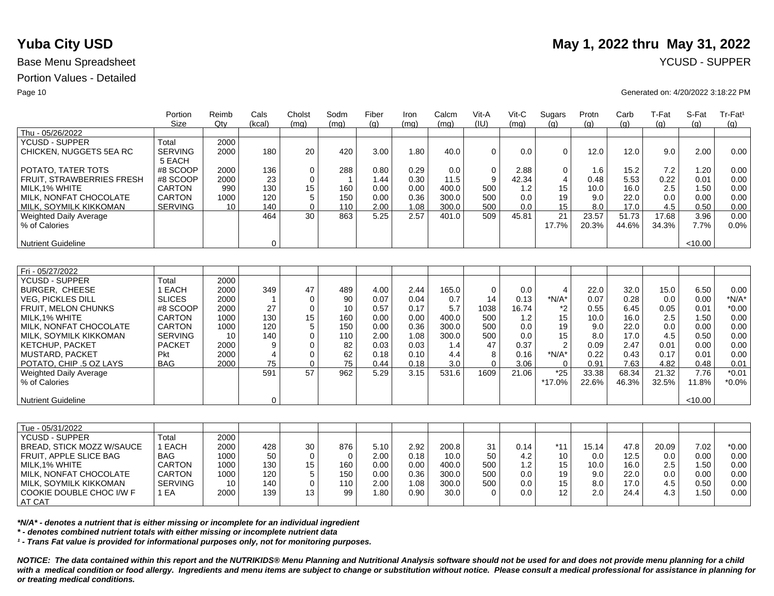## Portion Values - Detailed

| Size                                      | Qtv  |                |              |      |      |      |       |             |       | Sugars         |       |       |       |         | Tr-Fat <sup>1</sup> |
|-------------------------------------------|------|----------------|--------------|------|------|------|-------|-------------|-------|----------------|-------|-------|-------|---------|---------------------|
|                                           |      | (kcal)         | (mq)         | (ma) | (q)  | (mq) | (mq)  | (IU)        | (mq)  | (q)            | (q)   | (q)   | (q)   | (q)     | (q)                 |
| Thu - 05/26/2022                          |      |                |              |      |      |      |       |             |       |                |       |       |       |         |                     |
| <b>YCUSD - SUPPER</b><br>Total            | 2000 |                |              |      |      |      |       |             |       |                |       |       |       |         |                     |
| <b>SERVING</b><br>CHICKEN, NUGGETS 5EA RC | 2000 | 180            | 20           | 420  | 3.00 | 1.80 | 40.0  | $\Omega$    | 0.0   | 0              | 12.0  | 12.0  | 9.0   | 2.00    | 0.00                |
| 5 EACH                                    |      |                |              |      |      |      |       |             |       |                |       |       |       |         |                     |
| POTATO, TATER TOTS<br>#8 SCOOP            | 2000 | 136            | $\mathbf 0$  | 288  | 0.80 | 0.29 | 0.0   | $\mathbf 0$ | 2.88  | 0              | 1.6   | 15.2  | 7.2   | 1.20    | 0.00                |
| FRUIT, STRAWBERRIES FRESH<br>#8 SCOOP     | 2000 | 23             | 0            | -1   | 1.44 | 0.30 | 11.5  | 9           | 42.34 | $\overline{4}$ | 0.48  | 5.53  | 0.22  | 0.01    | 0.00                |
| <b>CARTON</b><br>MILK, 1% WHITE           | 990  | 130            | 15           | 160  | 0.00 | 0.00 | 400.0 | 500         | 1.2   | 15             | 10.0  | 16.0  | 2.5   | 1.50    | 0.00                |
| MILK, NONFAT CHOCOLATE<br>CARTON          | 1000 | 120            | 5            | 150  | 0.00 | 0.36 | 300.0 | 500         | 0.0   | 19             | 9.0   | 22.0  | 0.0   | 0.00    | 0.00                |
| <b>SERVING</b><br>MILK, SOYMILK KIKKOMAN  | 10   | 140            | $\mathbf 0$  | 110  | 2.00 | 1.08 | 300.0 | 500         | 0.0   | 15             | 8.0   | 17.0  | 4.5   | 0.50    | 0.00                |
| Weighted Daily Average                    |      | 464            | 30           | 863  | 5.25 | 2.57 | 401.0 | 509         | 45.81 | 21             | 23.57 | 51.73 | 17.68 | 3.96    | 0.00                |
| % of Calories                             |      |                |              |      |      |      |       |             |       | 17.7%          | 20.3% | 44.6% | 34.3% | 7.7%    | 0.0%                |
|                                           |      |                |              |      |      |      |       |             |       |                |       |       |       |         |                     |
| <b>Nutrient Guideline</b>                 |      | $\mathbf 0$    |              |      |      |      |       |             |       |                |       |       |       | < 10.00 |                     |
|                                           |      |                |              |      |      |      |       |             |       |                |       |       |       |         |                     |
|                                           |      |                |              |      |      |      |       |             |       |                |       |       |       |         |                     |
| Fri - 05/27/2022                          |      |                |              |      |      |      |       |             |       |                |       |       |       |         |                     |
| Total<br><b>YCUSD - SUPPER</b>            | 2000 |                |              |      |      |      |       |             |       |                |       |       |       |         |                     |
| 1 EACH<br><b>BURGER, CHEESE</b>           | 2000 | 349            | 47           | 489  | 4.00 | 2.44 | 165.0 | $\mathbf 0$ | 0.0   | $\overline{4}$ | 22.0  | 32.0  | 15.0  | 6.50    | 0.00                |
| <b>SLICES</b><br><b>VEG. PICKLES DILL</b> | 2000 |                | $\mathbf 0$  | 90   | 0.07 | 0.04 | 0.7   | 14          | 0.13  | $*N/A*$        | 0.07  | 0.28  | 0.0   | 0.00    | $*N/A*$             |
| #8 SCOOP<br>FRUIT, MELON CHUNKS           | 2000 | 27             | $\mathbf 0$  | 10   | 0.57 | 0.17 | 5.7   | 1038        | 16.74 | *2             | 0.55  | 6.45  | 0.05  | 0.01    | $*0.00$             |
| MILK.1% WHITE<br><b>CARTON</b>            | 1000 | 130            | 15           | 160  | 0.00 | 0.00 | 400.0 | 500         | 1.2   | 15             | 10.0  | 16.0  | 2.5   | 1.50    | 0.00                |
| MILK, NONFAT CHOCOLATE<br><b>CARTON</b>   | 1000 | 120            | 5            | 150  | 0.00 | 0.36 | 300.0 | 500         | 0.0   | 19             | 9.0   | 22.0  | 0.0   | 0.00    | 0.00                |
| <b>SERVING</b><br>MILK, SOYMILK KIKKOMAN  | 10   | 140            | $\mathbf{0}$ | 110  | 2.00 | 1.08 | 300.0 | 500         | 0.0   | 15             | 8.0   | 17.0  | 4.5   | 0.50    | 0.00                |
| <b>PACKET</b><br><b>KETCHUP, PACKET</b>   | 2000 | 9              | $\Omega$     | 82   | 0.03 | 0.03 | 1.4   | 47          | 0.37  | 2              | 0.09  | 2.47  | 0.01  | 0.00    | 0.00                |
| MUSTARD, PACKET<br><b>Pkt</b>             | 2000 | $\overline{4}$ | 0            | 62   | 0.18 | 0.10 | 4.4   | 8           | 0.16  | $*N/A*$        | 0.22  | 0.43  | 0.17  | 0.01    | 0.00                |
| POTATO, CHIP .5 OZ LAYS<br><b>BAG</b>     | 2000 | 75             | $\mathbf 0$  | 75   | 0.44 | 0.18 | 3.0   | $\Omega$    | 3.06  | $\Omega$       | 0.91  | 7.63  | 4.82  | 0.48    | 0.01                |
| Weighted Daily Average                    |      | 591            | 57           | 962  | 5.29 | 3.15 | 531.6 | 1609        | 21.06 | $*25$          | 33.38 | 68.34 | 21.32 | 7.76    | $*0.01$             |
| % of Calories                             |      |                |              |      |      |      |       |             |       | *17.0%         | 22.6% | 46.3% | 32.5% | 11.8%   | $*0.0\%$            |
|                                           |      |                |              |      |      |      |       |             |       |                |       |       |       |         |                     |
| <b>Nutrient Guideline</b>                 |      | $\Omega$       |              |      |      |      |       |             |       |                |       |       |       | < 10.00 |                     |
|                                           |      |                |              |      |      |      |       |             |       |                |       |       |       |         |                     |

| Tue - 05/31/2022          |                |      |     |    |     |      |      |       |     |                  |       |       |      |       |      |                   |
|---------------------------|----------------|------|-----|----|-----|------|------|-------|-----|------------------|-------|-------|------|-------|------|-------------------|
| <b>YCUSD - SUPPER</b>     | ⊺otal          | 2000 |     |    |     |      |      |       |     |                  |       |       |      |       |      |                   |
| BREAD, STICK MOZZ W/SAUCE | EACH           | 2000 | 428 | 30 | 876 | 5.10 | 2.92 | 200.8 | 31  | 0.14             | $*11$ | 15.14 | 47.8 | 20.09 | 7.02 | $*0.00$           |
| FRUIT, APPLE SLICE BAG    | <b>BAG</b>     | 1000 | 50  |    | 0   | 2.00 | 0.18 | 10.0  | 50  | 4.2              | 10    | 0.0   | 12.5 | 0.0   | 0.00 | 0.00              |
| MILK,1% WHITE             | <b>CARTON</b>  | 1000 | 130 | 15 | 160 | 0.00 | 0.00 | 400.0 | 500 | 1.2 <sub>1</sub> | 15    | 10.0  | 16.0 | 2.5   | 1.50 | 0.00 <sub>1</sub> |
| MILK, NONFAT CHOCOLATE    | <b>CARTON</b>  | 1000 | 120 |    | 150 | 0.00 | 0.36 | 300.0 | 500 | 0.0              | 19    | 9.0   | 22.0 | 0.0   | 0.00 | 0.00              |
| MILK, SOYMILK KIKKOMAN    | <b>SERVING</b> | 10   | 140 |    | 110 | 2.00 | 1.08 | 300.0 | 500 | 0.0              | 15    | 8.0   | 17.0 | 4.5   | 0.50 | 0.00 <sub>1</sub> |
| COOKIE DOUBLE CHOC I/W F  | EA             | 2000 | 139 | 13 | 99  | .80  | 0.90 | 30.0  |     | 0.0              | 12    | 2.0   | 24.4 | 4.3   | . 50 | 0.00              |
| AT CAT                    |                |      |     |    |     |      |      |       |     |                  |       |       |      |       |      |                   |

*\*N/A\* - denotes a nutrient that is either missing or incomplete for an individual ingredient*

*\* - denotes combined nutrient totals with either missing or incomplete nutrient data*

*¹ - Trans Fat value is provided for informational purposes only, not for monitoring purposes.*

*NOTICE: The data contained within this report and the NUTRIKIDS® Menu Planning and Nutritional Analysis software should not be used for and does not provide menu planning for a child*  with a medical condition or food allergy. Ingredients and menu items are subject to change or substitution without notice. Please consult a medical professional for assistance in planning for *or treating medical conditions.*

# **Yuba City USD** May 1, 2022 thru May 31, 2022

### Page 10 Generated on: 4/20/2022 3:18:22 PM